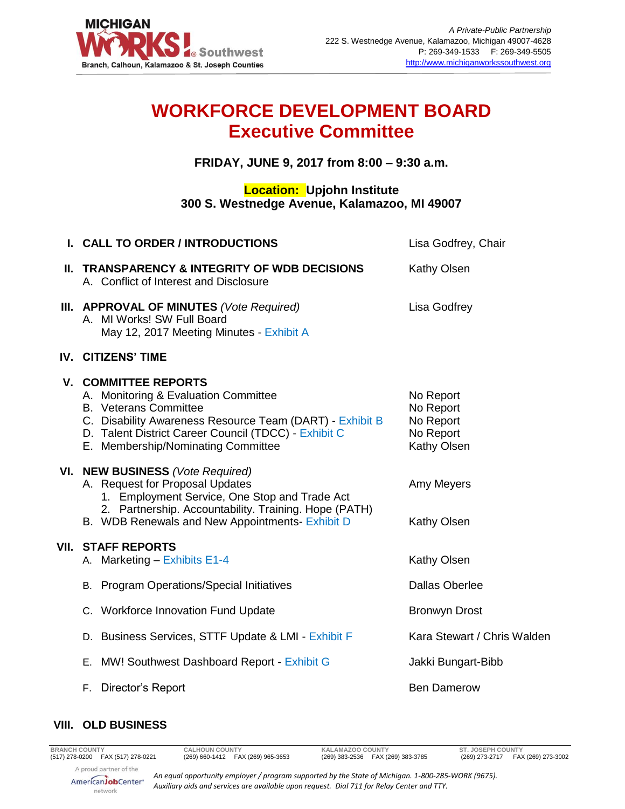

## **WORKFORCE DEVELOPMENT BOARD Executive Committee**

**FRIDAY, JUNE 9, 2017 from 8:00 – 9:30 a.m.**

## **Location: Upjohn Institute 300 S. Westnedge Avenue, Kalamazoo, MI 49007**

| Lisa Godfrey, Chair         |
|-----------------------------|
|                             |
|                             |
|                             |
|                             |
|                             |
|                             |
|                             |
|                             |
| Kara Stewart / Chris Walden |
| Jakki Bungart-Bibb          |
|                             |
|                             |

## **VIII. OLD BUSINESS**

*An equal opportunity employer / program supported by the State of Michigan. 1-800-285-WORK (9675). Auxiliary aids and services are available upon request. Dial 711 for Relay Center and TTY.*